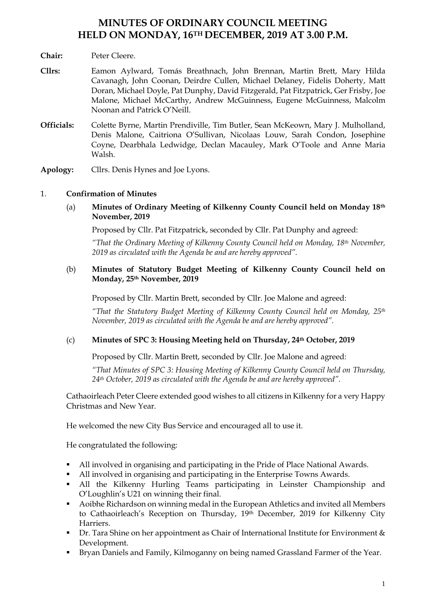# **MINUTES OF ORDINARY COUNCIL MEETING HELD ON MONDAY, 16TH DECEMBER, 2019 AT 3.00 P.M.**

### **Chair:** Peter Cleere.

- **Cllrs:** Eamon Aylward, Tomás Breathnach, John Brennan, Martin Brett, Mary Hilda Cavanagh, John Coonan, Deirdre Cullen, Michael Delaney, Fidelis Doherty, Matt Doran, Michael Doyle, Pat Dunphy, David Fitzgerald, Pat Fitzpatrick, Ger Frisby, Joe Malone, Michael McCarthy, Andrew McGuinness, Eugene McGuinness, Malcolm Noonan and Patrick O'Neill.
- **Officials:** Colette Byrne, Martin Prendiville, Tim Butler, Sean McKeown, Mary J. Mulholland, Denis Malone, Caitriona O'Sullivan, Nicolaas Louw, Sarah Condon, Josephine Coyne, Dearbhala Ledwidge, Declan Macauley, Mark O'Toole and Anne Maria Walsh.

**Apology:** Cllrs. Denis Hynes and Joe Lyons.

### 1. **Confirmation of Minutes**

(a) **Minutes of Ordinary Meeting of Kilkenny County Council held on Monday 18th November, 2019**

Proposed by Cllr. Pat Fitzpatrick, seconded by Cllr. Pat Dunphy and agreed:

*"That the Ordinary Meeting of Kilkenny County Council held on Monday, 18th November, 2019 as circulated with the Agenda be and are hereby approved".*

#### (b) **Minutes of Statutory Budget Meeting of Kilkenny County Council held on Monday, 25th November, 2019**

Proposed by Cllr. Martin Brett, seconded by Cllr. Joe Malone and agreed:

*"That the Statutory Budget Meeting of Kilkenny County Council held on Monday, 25th November, 2019 as circulated with the Agenda be and are hereby approved".*

#### (c) **Minutes of SPC 3: Housing Meeting held on Thursday, 24th October, 2019**

Proposed by Cllr. Martin Brett, seconded by Cllr. Joe Malone and agreed:

*"That Minutes of SPC 3: Housing Meeting of Kilkenny County Council held on Thursday, 24th October, 2019 as circulated with the Agenda be and are hereby approved".*

Cathaoirleach Peter Cleere extended good wishes to all citizens in Kilkenny for a very Happy Christmas and New Year.

He welcomed the new City Bus Service and encouraged all to use it.

He congratulated the following:

- All involved in organising and participating in the Pride of Place National Awards.
- All involved in organising and participating in the Enterprise Towns Awards.
- All the Kilkenny Hurling Teams participating in Leinster Championship and O'Loughlin's U21 on winning their final.
- Aoibhe Richardson on winning medal in the European Athletics and invited all Members to Cathaoirleach's Reception on Thursday, 19th December, 2019 for Kilkenny City Harriers.
- Dr. Tara Shine on her appointment as Chair of International Institute for Environment & Development.
- Bryan Daniels and Family, Kilmoganny on being named Grassland Farmer of the Year.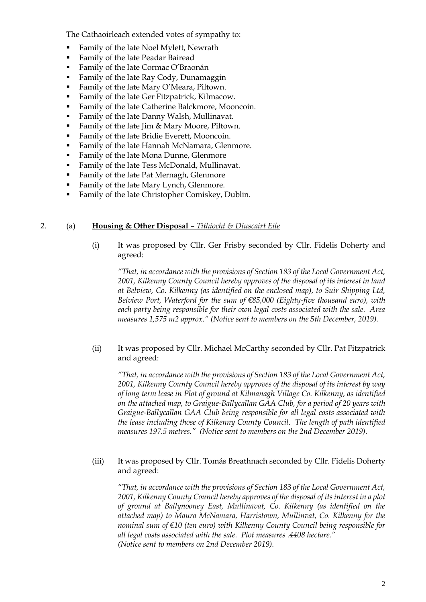The Cathaoirleach extended votes of sympathy to:

- Family of the late Noel Mylett, Newrath
- Family of the late Peadar Bairead
- Family of the late Cormac O'Braonán
- Family of the late Ray Cody, Dunamaggin
- Family of the late Mary O'Meara, Piltown.
- Family of the late Ger Fitzpatrick, Kilmacow.
- Family of the late Catherine Balckmore, Mooncoin.
- Family of the late Danny Walsh, Mullinavat.
- Family of the late Jim & Mary Moore, Piltown.
- **•** Family of the late Bridie Everett, Mooncoin.
- Family of the late Hannah McNamara, Glenmore.
- Family of the late Mona Dunne, Glenmore
- Family of the late Tess McDonald, Mullinavat.
- Family of the late Pat Mernagh, Glenmore
- Family of the late Mary Lynch, Glenmore.
- Family of the late Christopher Comiskey, Dublin.

#### 2. (a) **Housing & Other Disposal** *– Tithíocht & Díuscairt Eile*

(i) It was proposed by Cllr. Ger Frisby seconded by Cllr. Fidelis Doherty and agreed:

*"That, in accordance with the provisions of Section 183 of the Local Government Act, 2001, Kilkenny County Council hereby approves of the disposal of its interest in land at Belview, Co. Kilkenny (as identified on the enclosed map), to Suir Shipping Ltd, Belview Port, Waterford for the sum of €85,000 (Eighty-five thousand euro), with each party being responsible for their own legal costs associated with the sale. Area measures 1,575 m2 approx." (Notice sent to members on the 5th December, 2019).*

#### (ii) It was proposed by Cllr. Michael McCarthy seconded by Cllr. Pat Fitzpatrick and agreed:

*"That, in accordance with the provisions of Section 183 of the Local Government Act, 2001, Kilkenny County Council hereby approves of the disposal of its interest by way of long term lease in Plot of ground at Kilmanagh Village Co. Kilkenny, as identified on the attached map, to Graigue-Ballycallan GAA Club, for a period of 20 years with Graigue-Ballycallan GAA Club being responsible for all legal costs associated with the lease including those of Kilkenny County Council. The length of path identified measures 197.5 metres." (Notice sent to members on the 2nd December 2019).*

(iii) It was proposed by Cllr. Tomás Breathnach seconded by Cllr. Fidelis Doherty and agreed:

*"That, in accordance with the provisions of Section 183 of the Local Government Act, 2001, Kilkenny County Council hereby approves of the disposal of its interest in a plot of ground at Ballynooney East, Mullinavat, Co. Kilkenny (as identified on the attached map) to Maura McNamara, Harristown, Mullinvat, Co. Kilkenny for the nominal sum of €10 (ten euro) with Kilkenny County Council being responsible for all legal costs associated with the sale. Plot measures .4408 hectare." (Notice sent to members on 2nd December 2019).*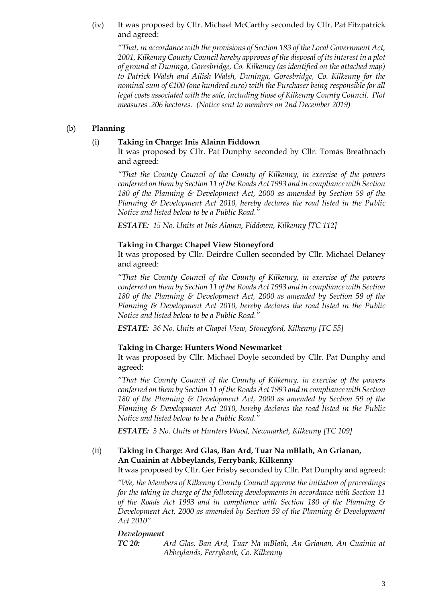### (iv) It was proposed by Cllr. Michael McCarthy seconded by Cllr. Pat Fitzpatrick and agreed:

*"That, in accordance with the provisions of Section 183 of the Local Government Act, 2001, Kilkenny County Council hereby approves of the disposal of its interest in a plot of ground at Duninga, Goresbridge, Co. Kilkenny (as identified on the attached map) to Patrick Walsh and Ailish Walsh, Duninga, Goresbridge, Co. Kilkenny for the nominal sum of €100 (one hundred euro) with the Purchaser being responsible for all legal costs associated with the sale, including those of Kilkenny County Council. Plot measures .206 hectares. (Notice sent to members on 2nd December 2019)*

### (b) **Planning**

## (i) **Taking in Charge: Inis Alainn Fiddown**

It was proposed by Cllr. Pat Dunphy seconded by Cllr. Tomás Breathnach and agreed:

*"That the County Council of the County of Kilkenny, in exercise of the powers conferred on them by Section 11 of the Roads Act 1993 and in compliance with Section 180 of the Planning & Development Act, 2000 as amended by Section 59 of the Planning & Development Act 2010, hereby declares the road listed in the Public Notice and listed below to be a Public Road."*

*ESTATE: 15 No. Units at Inis Alainn, Fiddown, Kilkenny [TC 112]*

### **Taking in Charge: Chapel View Stoneyford**

It was proposed by Cllr. Deirdre Cullen seconded by Cllr. Michael Delaney and agreed:

*"That the County Council of the County of Kilkenny, in exercise of the powers conferred on them by Section 11 of the Roads Act 1993 and in compliance with Section 180 of the Planning & Development Act, 2000 as amended by Section 59 of the Planning & Development Act 2010, hereby declares the road listed in the Public Notice and listed below to be a Public Road."*

*ESTATE: 36 No. Units at Chapel View, Stoneyford, Kilkenny [TC 55]*

### **Taking in Charge: Hunters Wood Newmarket**

It was proposed by Cllr. Michael Doyle seconded by Cllr. Pat Dunphy and agreed:

*"That the County Council of the County of Kilkenny, in exercise of the powers conferred on them by Section 11 of the Roads Act 1993 and in compliance with Section 180 of the Planning & Development Act, 2000 as amended by Section 59 of the Planning & Development Act 2010, hereby declares the road listed in the Public Notice and listed below to be a Public Road."*

*ESTATE: 3 No. Units at Hunters Wood, Newmarket, Kilkenny [TC 109]*

# (ii) **Taking in Charge: Ard Glas, Ban Ard, Tuar Na mBlath, An Grianan, An Cuainin at Abbeylands, Ferrybank, Kilkenny**

It was proposed by Cllr. Ger Frisby seconded by Cllr. Pat Dunphy and agreed:

*"We, the Members of Kilkenny County Council approve the initiation of proceedings for the taking in charge of the following developments in accordance with Section 11 of the Roads Act 1993 and in compliance with Section 180 of the Planning & Development Act, 2000 as amended by Section 59 of the Planning & Development Act 2010"*

### *Development*

*TC 20: Ard Glas, Ban Ard, Tuar Na mBlath, An Grianan, An Cuainin at Abbeylands, Ferrybank, Co. Kilkenny*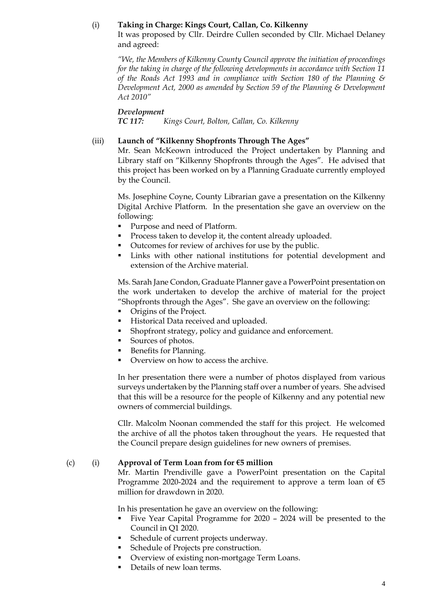#### (i) **Taking in Charge: Kings Court, Callan, Co. Kilkenny**

It was proposed by Cllr. Deirdre Cullen seconded by Cllr. Michael Delaney and agreed:

*"We, the Members of Kilkenny County Council approve the initiation of proceedings for the taking in charge of the following developments in accordance with Section 11 of the Roads Act 1993 and in compliance with Section 180 of the Planning & Development Act, 2000 as amended by Section 59 of the Planning & Development Act 2010"*

#### *Development*

*TC 117: Kings Court, Bolton, Callan, Co. Kilkenny*

#### (iii) **Launch of "Kilkenny Shopfronts Through The Ages"**

Mr. Sean McKeown introduced the Project undertaken by Planning and Library staff on "Kilkenny Shopfronts through the Ages". He advised that this project has been worked on by a Planning Graduate currently employed by the Council.

Ms. Josephine Coyne, County Librarian gave a presentation on the Kilkenny Digital Archive Platform. In the presentation she gave an overview on the following:

- Purpose and need of Platform.
- Process taken to develop it, the content already uploaded.
- Outcomes for review of archives for use by the public.
- Links with other national institutions for potential development and extension of the Archive material.

Ms. Sarah Jane Condon, Graduate Planner gave a PowerPoint presentation on the work undertaken to develop the archive of material for the project "Shopfronts through the Ages". She gave an overview on the following:

- Origins of the Project.
- Historical Data received and uploaded.
- Shopfront strategy, policy and guidance and enforcement.
- Sources of photos.
- Benefits for Planning.
- Overview on how to access the archive.

In her presentation there were a number of photos displayed from various surveys undertaken by the Planning staff over a number of years. She advised that this will be a resource for the people of Kilkenny and any potential new owners of commercial buildings.

Cllr. Malcolm Noonan commended the staff for this project. He welcomed the archive of all the photos taken throughout the years. He requested that the Council prepare design guidelines for new owners of premises.

#### (c) (i) **Approval of Term Loan from for €5 million**

Mr. Martin Prendiville gave a PowerPoint presentation on the Capital Programme 2020-2024 and the requirement to approve a term loan of  $\epsilon$ 5 million for drawdown in 2020.

In his presentation he gave an overview on the following:

- Five Year Capital Programme for 2020 2024 will be presented to the Council in Q1 2020.
- Schedule of current projects underway.
- Schedule of Projects pre construction.
- Overview of existing non-mortgage Term Loans.
- Details of new loan terms.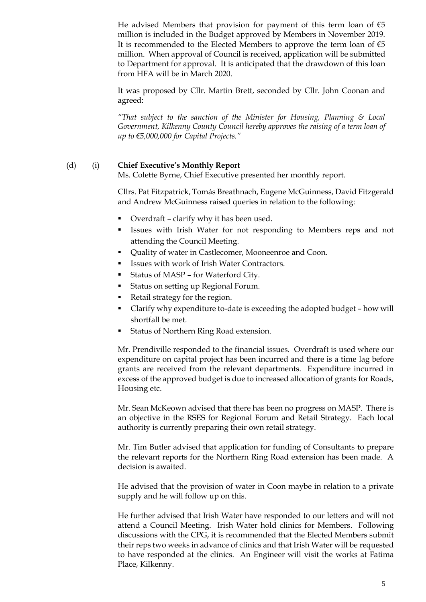He advised Members that provision for payment of this term loan of  $\epsilon$ 5 million is included in the Budget approved by Members in November 2019. It is recommended to the Elected Members to approve the term loan of  $\epsilon$ 5 million. When approval of Council is received, application will be submitted to Department for approval. It is anticipated that the drawdown of this loan from HFA will be in March 2020.

It was proposed by Cllr. Martin Brett, seconded by Cllr. John Coonan and agreed:

*"That subject to the sanction of the Minister for Housing, Planning & Local*  Government, Kilkenny County Council hereby approves the raising of a term loan of *up to €5,000,000 for Capital Projects."*

### (d) (i) **Chief Executive's Monthly Report**

Ms. Colette Byrne, Chief Executive presented her monthly report.

Cllrs. Pat Fitzpatrick, Tomás Breathnach, Eugene McGuinness, David Fitzgerald and Andrew McGuinness raised queries in relation to the following:

- Overdraft clarify why it has been used.
- **Example 1** Issues with Irish Water for not responding to Members reps and not attending the Council Meeting.
- Quality of water in Castlecomer, Mooneenroe and Coon.
- **EXECUTE:** Issues with work of Irish Water Contractors.
- Status of MASP for Waterford City.
- **•** Status on setting up Regional Forum.
- Retail strategy for the region.
- Clarify why expenditure to-date is exceeding the adopted budget how will shortfall be met.
- Status of Northern Ring Road extension.

Mr. Prendiville responded to the financial issues. Overdraft is used where our expenditure on capital project has been incurred and there is a time lag before grants are received from the relevant departments. Expenditure incurred in excess of the approved budget is due to increased allocation of grants for Roads, Housing etc.

Mr. Sean McKeown advised that there has been no progress on MASP. There is an objective in the RSES for Regional Forum and Retail Strategy. Each local authority is currently preparing their own retail strategy.

Mr. Tim Butler advised that application for funding of Consultants to prepare the relevant reports for the Northern Ring Road extension has been made. A decision is awaited.

He advised that the provision of water in Coon maybe in relation to a private supply and he will follow up on this.

He further advised that Irish Water have responded to our letters and will not attend a Council Meeting. Irish Water hold clinics for Members. Following discussions with the CPG, it is recommended that the Elected Members submit their reps two weeks in advance of clinics and that Irish Water will be requested to have responded at the clinics. An Engineer will visit the works at Fatima Place, Kilkenny.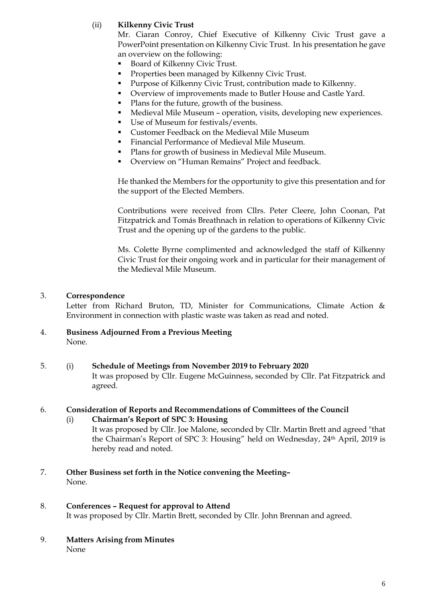# (ii) **Kilkenny Civic Trust**

Mr. Ciaran Conroy, Chief Executive of Kilkenny Civic Trust gave a PowerPoint presentation on Kilkenny Civic Trust. In his presentation he gave an overview on the following:

- Board of Kilkenny Civic Trust.
- Properties been managed by Kilkenny Civic Trust.
- Purpose of Kilkenny Civic Trust, contribution made to Kilkenny.
- Overview of improvements made to Butler House and Castle Yard.
- Plans for the future, growth of the business.
- Medieval Mile Museum operation, visits, developing new experiences.
- Use of Museum for festivals/events.
- Customer Feedback on the Medieval Mile Museum
- **•** Financial Performance of Medieval Mile Museum.
- Plans for growth of business in Medieval Mile Museum.
- Overview on "Human Remains" Project and feedback.

He thanked the Members for the opportunity to give this presentation and for the support of the Elected Members.

Contributions were received from Cllrs. Peter Cleere, John Coonan, Pat Fitzpatrick and Tomás Breathnach in relation to operations of Kilkenny Civic Trust and the opening up of the gardens to the public.

Ms. Colette Byrne complimented and acknowledged the staff of Kilkenny Civic Trust for their ongoing work and in particular for their management of the Medieval Mile Museum.

### 3. **Correspondence**

Letter from Richard Bruton, TD, Minister for Communications, Climate Action & Environment in connection with plastic waste was taken as read and noted.

- 4. **Business Adjourned From a Previous Meeting** None.
- 5. (i) **Schedule of Meetings from November 2019 to February 2020** It was proposed by Cllr. Eugene McGuinness, seconded by Cllr. Pat Fitzpatrick and agreed.

#### 6. **Consideration of Reports and Recommendations of Committees of the Council**

- (i) **Chairman's Report of SPC 3: Housing** It was proposed by Cllr. Joe Malone, seconded by Cllr. Martin Brett and agreed "that the Chairman's Report of SPC 3: Housing" held on Wednesday, 24th April, 2019 is hereby read and noted.
- 7. **Other Business set forth in the Notice convening the Meeting–** None.
- 8. **Conferences – Request for approval to Attend** It was proposed by Cllr. Martin Brett, seconded by Cllr. John Brennan and agreed.
- 9. **Matters Arising from Minutes**

None